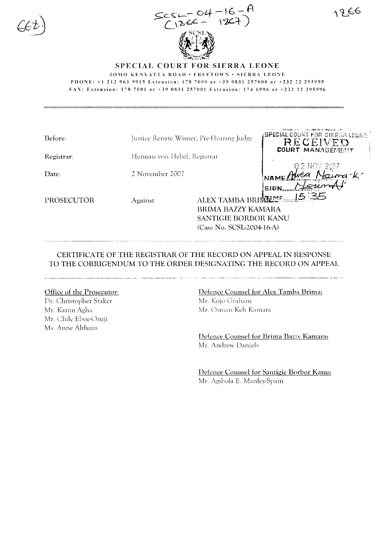

1266

### SPECIAL COURT FOR SIERRA LEONE

JOMO KENYATTA ROAD • FREETOWN • SIERRA LEONE

PHONE: +1 212 963 9915 Extension: 178 7000 or +39 0831 257000 or +232 22 295995

FAX: Extension: 178 7001 or +39 0831 257001 Extension: 174 6996 or +232 22 295996

|                                          |                           | A REPORT OF THE RESIDENCE OF THE LEGISLATION OF THE CONSTRUCTION OF THE CONSTRUCTION OF THE CONSTRUCTION OF THE |
|------------------------------------------|---------------------------|-----------------------------------------------------------------------------------------------------------------|
| Justice Renate Winter, Pre-Hearing Judge |                           | <b>SPECIAL COURT FOR SIERRA LEGNE</b>                                                                           |
|                                          |                           | RECEIVED                                                                                                        |
|                                          |                           | <b>COURT MANAGEMENT</b>                                                                                         |
|                                          |                           |                                                                                                                 |
|                                          |                           | 12 NOV 2007                                                                                                     |
| 2 November 2007                          |                           |                                                                                                                 |
|                                          |                           |                                                                                                                 |
|                                          |                           | SIGN.                                                                                                           |
|                                          |                           | <b>MEIME.</b>                                                                                                   |
|                                          |                           |                                                                                                                 |
|                                          |                           |                                                                                                                 |
|                                          | SANTIGIE BORBOR KANU      |                                                                                                                 |
|                                          | (Case No. SCSL-2004-16-A) |                                                                                                                 |
|                                          | Against                   | Herman von Hebel, Registrar<br><b>ALEX TAMBA BI</b><br>BRIMA BAZZY KAMARA                                       |

CERTIFICATE OF THE REGISTRAR OF THE RECORD ON APPEAL IN RESPONSE TO THE CORRIGENDUM TO THE ORDER DESIGNATING THE RECORD ON APPEAL

#### Office of the Prosecutor:

Dr. Christopher Staker Mr. Karim Agha Mr. Chile Eboe-Osuji Ms. Anne Althaus

## Defence Counsel for Alex Tamba Brima: Mr. Kojo Graham Mr. Osman Keh Kamara

Defence Counsel for Brima Bazzy Kamara: Mr. Andrew Daniels

Defence Counsel for Santigie Borbor Kanu: Mr. Agibola E. Manley-Spain